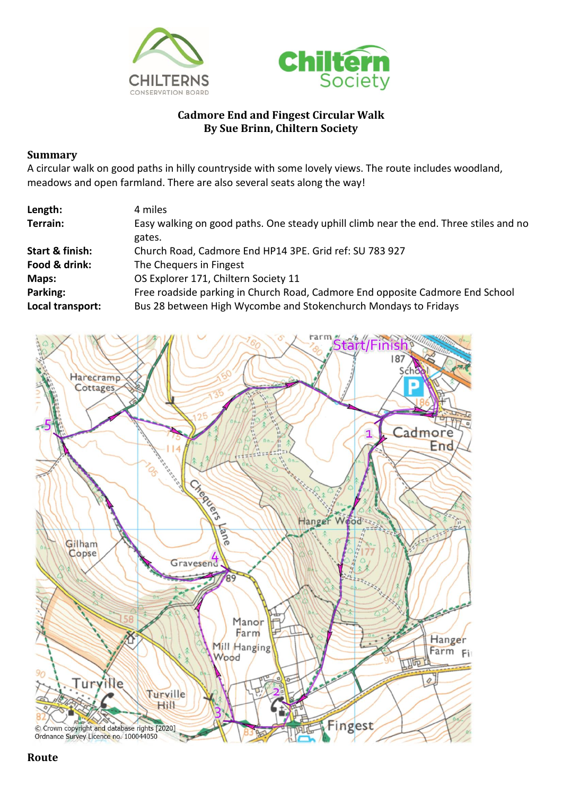



## **Cadmore End and Fingest Circular Walk By Sue Brinn, Chiltern Society**

## **Summary**

A circular walk on good paths in hilly countryside with some lovely views. The route includes woodland, meadows and open farmland. There are also several seats along the way!

| Length:          | 4 miles                                                                               |
|------------------|---------------------------------------------------------------------------------------|
| Terrain:         | Easy walking on good paths. One steady uphill climb near the end. Three stiles and no |
|                  | gates.                                                                                |
| Start & finish:  | Church Road, Cadmore End HP14 3PE. Grid ref: SU 783 927                               |
| Food & drink:    | The Chequers in Fingest                                                               |
| Maps:            | OS Explorer 171, Chiltern Society 11                                                  |
| Parking:         | Free roadside parking in Church Road, Cadmore End opposite Cadmore End School         |
| Local transport: | Bus 28 between High Wycombe and Stokenchurch Mondays to Fridays                       |



**Route**